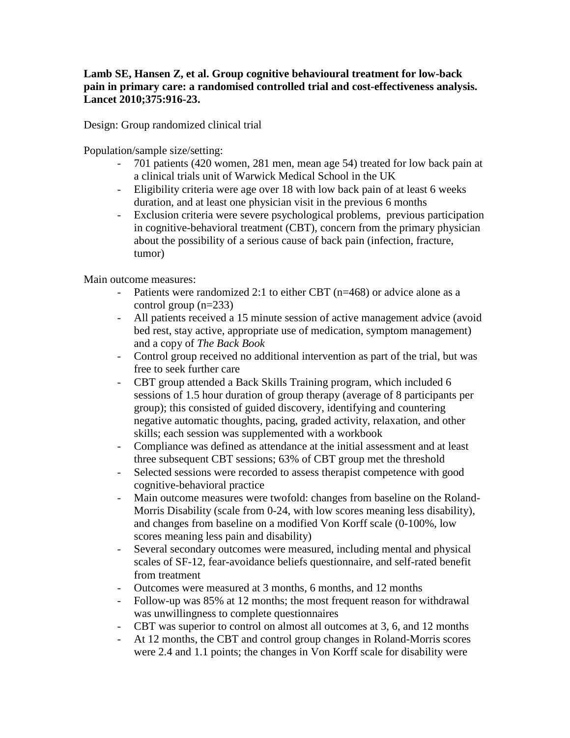## **Lamb SE, Hansen Z, et al. Group cognitive behavioural treatment for low-back pain in primary care: a randomised controlled trial and cost-effectiveness analysis. Lancet 2010;375:916-23.**

Design: Group randomized clinical trial

Population/sample size/setting:

- 701 patients (420 women, 281 men, mean age 54) treated for low back pain at a clinical trials unit of Warwick Medical School in the UK
- Eligibility criteria were age over 18 with low back pain of at least 6 weeks duration, and at least one physician visit in the previous 6 months
- Exclusion criteria were severe psychological problems, previous participation in cognitive-behavioral treatment (CBT), concern from the primary physician about the possibility of a serious cause of back pain (infection, fracture, tumor)

Main outcome measures:

- Patients were randomized 2:1 to either CBT (n=468) or advice alone as a control group (n=233)
- All patients received a 15 minute session of active management advice (avoid bed rest, stay active, appropriate use of medication, symptom management) and a copy of *The Back Book*
- Control group received no additional intervention as part of the trial, but was free to seek further care
- CBT group attended a Back Skills Training program, which included 6 sessions of 1.5 hour duration of group therapy (average of 8 participants per group); this consisted of guided discovery, identifying and countering negative automatic thoughts, pacing, graded activity, relaxation, and other skills; each session was supplemented with a workbook
- Compliance was defined as attendance at the initial assessment and at least three subsequent CBT sessions; 63% of CBT group met the threshold
- Selected sessions were recorded to assess therapist competence with good cognitive-behavioral practice
- Main outcome measures were twofold: changes from baseline on the Roland-Morris Disability (scale from 0-24, with low scores meaning less disability), and changes from baseline on a modified Von Korff scale (0-100%, low scores meaning less pain and disability)
- Several secondary outcomes were measured, including mental and physical scales of SF-12, fear-avoidance beliefs questionnaire, and self-rated benefit from treatment
- Outcomes were measured at 3 months, 6 months, and 12 months
- Follow-up was 85% at 12 months; the most frequent reason for withdrawal was unwillingness to complete questionnaires
- CBT was superior to control on almost all outcomes at 3, 6, and 12 months
- At 12 months, the CBT and control group changes in Roland-Morris scores were 2.4 and 1.1 points; the changes in Von Korff scale for disability were